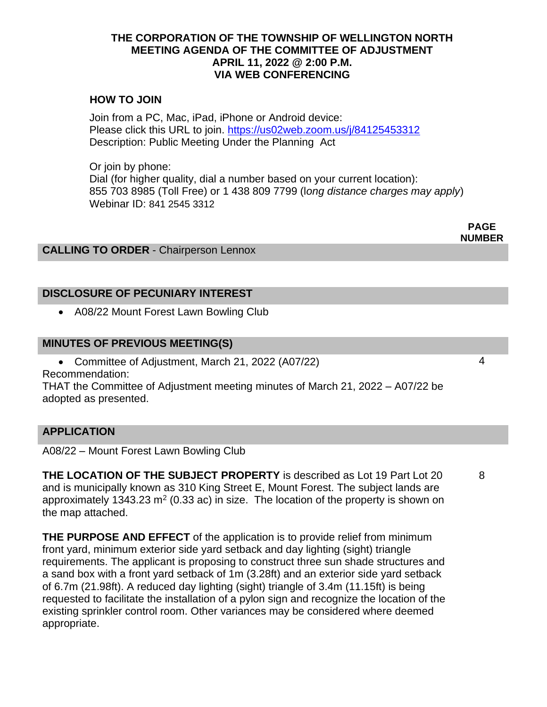#### **THE CORPORATION OF THE TOWNSHIP OF WELLINGTON NORTH MEETING AGENDA OF THE COMMITTEE OF ADJUSTMENT APRIL 11, 2022 @ 2:00 P.M. VIA WEB CONFERENCING**

## **HOW TO JOIN**

Join from a PC, Mac, iPad, iPhone or Android device: Please click this URL to join.<https://us02web.zoom.us/j/84125453312> Description: Public Meeting Under the Planning Act

Or join by phone: Dial (for higher quality, dial a number based on your current location): 855 703 8985 (Toll Free) or 1 438 809 7799 (l*ong distance charges may apply*) Webinar ID: 841 2545 3312

**CALLING TO ORDER** - Chairperson Lennox

## **DISCLOSURE OF PECUNIARY INTEREST**

• A08/22 Mount Forest Lawn Bowling Club

#### **MINUTES OF PREVIOUS MEETING(S)**

• Committee of Adjustment, March 21, 2022 (A07/22) Recommendation:

THAT the Committee of Adjustment meeting minutes of March 21, 2022 – A07/22 be adopted as presented.

### **APPLICATION**

A08/22 – Mount Forest Lawn Bowling Club

**THE LOCATION OF THE SUBJECT PROPERTY** is described as Lot 19 Part Lot 20 and is municipally known as 310 King Street E, Mount Forest. The subject lands are approximately 1343.23  $m^2$  (0.33 ac) in size. The location of the property is shown on the map attached.

**THE PURPOSE AND EFFECT** of the application is to provide relief from minimum front yard, minimum exterior side yard setback and day lighting (sight) triangle requirements. The applicant is proposing to construct three sun shade structures and a sand box with a front yard setback of 1m (3.28ft) and an exterior side yard setback of 6.7m (21.98ft). A reduced day lighting (sight) triangle of 3.4m (11.15ft) is being requested to facilitate the installation of a pylon sign and recognize the location of the existing sprinkler control room. Other variances may be considered where deemed appropriate.

8

**PAGE NUMBER**

4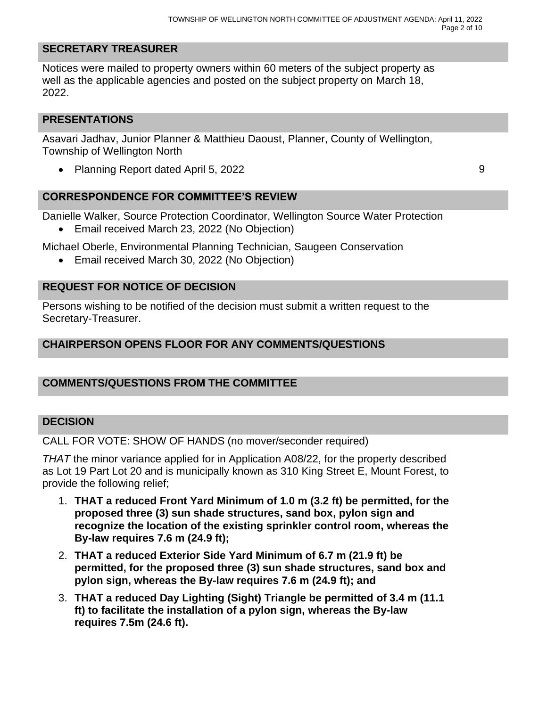# **SECRETARY TREASURER**

Notices were mailed to property owners within 60 meters of the subject property as well as the applicable agencies and posted on the subject property on March 18, 2022.

### **PRESENTATIONS**

Asavari Jadhav, Junior Planner & Matthieu Daoust, Planner, County of Wellington, Township of Wellington North

• Planning Report dated April 5, 2022 9

**CORRESPONDENCE FOR COMMITTEE'S REVIEW**

Danielle Walker, Source Protection Coordinator, Wellington Source Water Protection

• Email received March 23, 2022 (No Objection)

Michael Oberle, Environmental Planning Technician, Saugeen Conservation

• Email received March 30, 2022 (No Objection)

## **REQUEST FOR NOTICE OF DECISION**

Persons wishing to be notified of the decision must submit a written request to the Secretary-Treasurer.

## **CHAIRPERSON OPENS FLOOR FOR ANY COMMENTS/QUESTIONS**

## **COMMENTS/QUESTIONS FROM THE COMMITTEE**

### **DECISION**

CALL FOR VOTE: SHOW OF HANDS (no mover/seconder required)

*THAT* the minor variance applied for in Application A08/22, for the property described as Lot 19 Part Lot 20 and is municipally known as 310 King Street E, Mount Forest, to provide the following relief;

- 1. **THAT a reduced Front Yard Minimum of 1.0 m (3.2 ft) be permitted, for the proposed three (3) sun shade structures, sand box, pylon sign and recognize the location of the existing sprinkler control room, whereas the By-law requires 7.6 m (24.9 ft);**
- 2. **THAT a reduced Exterior Side Yard Minimum of 6.7 m (21.9 ft) be permitted, for the proposed three (3) sun shade structures, sand box and pylon sign, whereas the By-law requires 7.6 m (24.9 ft); and**
- 3. **THAT a reduced Day Lighting (Sight) Triangle be permitted of 3.4 m (11.1 ft) to facilitate the installation of a pylon sign, whereas the By-law requires 7.5m (24.6 ft).**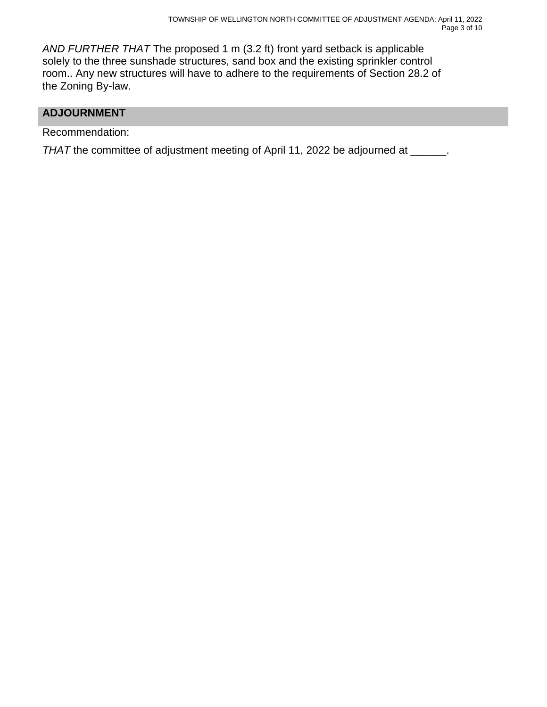*AND FURTHER THAT* The proposed 1 m (3.2 ft) front yard setback is applicable solely to the three sunshade structures, sand box and the existing sprinkler control room.. Any new structures will have to adhere to the requirements of Section 28.2 of the Zoning By-law.

## **ADJOURNMENT**

Recommendation:

*THAT* the committee of adjustment meeting of April 11, 2022 be adjourned at \_\_\_\_\_\_.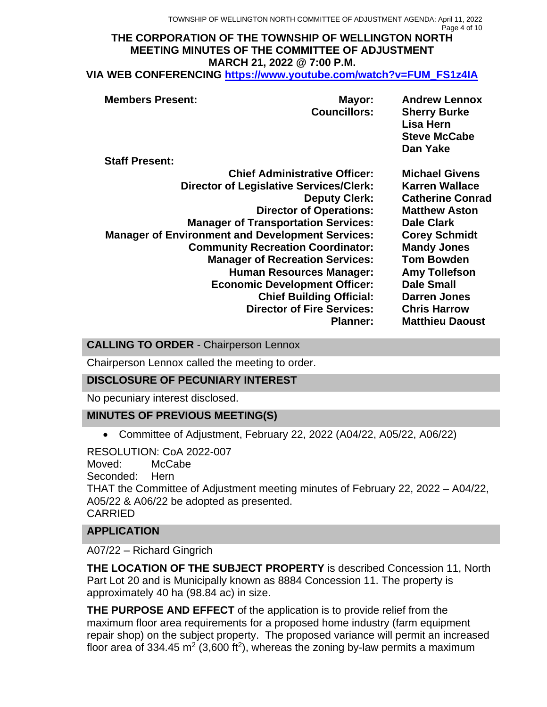#### **THE CORPORATION OF THE TOWNSHIP OF WELLINGTON NORTH MEETING MINUTES OF THE COMMITTEE OF ADJUSTMENT MARCH 21, 2022 @ 7:00 P.M. VIA WEB CONFERENCING [https://www.youtube.com/watch?v=FUM\\_FS1z4IA](https://www.youtube.com/watch?v=FUM_FS1z4IA)**

| <b>Members Present:</b><br><b>Staff Present:</b>        | Mayor:<br><b>Councillors:</b> | <b>Andrew Lennox</b><br><b>Sherry Burke</b><br>Lisa Hern<br><b>Steve McCabe</b><br>Dan Yake |
|---------------------------------------------------------|-------------------------------|---------------------------------------------------------------------------------------------|
| <b>Chief Administrative Officer:</b>                    |                               | <b>Michael Givens</b>                                                                       |
|                                                         |                               |                                                                                             |
| <b>Director of Legislative Services/Clerk:</b>          |                               | <b>Karren Wallace</b>                                                                       |
|                                                         | <b>Deputy Clerk:</b>          | <b>Catherine Conrad</b>                                                                     |
| <b>Director of Operations:</b>                          |                               | <b>Matthew Aston</b>                                                                        |
| <b>Manager of Transportation Services:</b>              |                               | <b>Dale Clark</b>                                                                           |
| <b>Manager of Environment and Development Services:</b> |                               | <b>Corey Schmidt</b>                                                                        |
| <b>Community Recreation Coordinator:</b>                |                               | <b>Mandy Jones</b>                                                                          |
| <b>Manager of Recreation Services:</b>                  |                               | <b>Tom Bowden</b>                                                                           |
| <b>Human Resources Manager:</b>                         |                               | <b>Amy Tollefson</b>                                                                        |
| <b>Economic Development Officer:</b>                    |                               | <b>Dale Small</b>                                                                           |
| <b>Chief Building Official:</b>                         |                               | <b>Darren Jones</b>                                                                         |
| <b>Director of Fire Services:</b>                       |                               | <b>Chris Harrow</b>                                                                         |
|                                                         | <b>Planner:</b>               | <b>Matthieu Daoust</b>                                                                      |

**CALLING TO ORDER** - Chairperson Lennox

Chairperson Lennox called the meeting to order.

## **DISCLOSURE OF PECUNIARY INTEREST**

No pecuniary interest disclosed.

## **MINUTES OF PREVIOUS MEETING(S)**

• Committee of Adjustment, February 22, 2022 (A04/22, A05/22, A06/22)

RESOLUTION: CoA 2022-007 Moved: McCabe Seconded: Hern THAT the Committee of Adjustment meeting minutes of February 22, 2022 – A04/22, A05/22 & A06/22 be adopted as presented. CARRIED

# **APPLICATION**

A07/22 – Richard Gingrich

**THE LOCATION OF THE SUBJECT PROPERTY** is described Concession 11, North Part Lot 20 and is Municipally known as 8884 Concession 11. The property is approximately 40 ha (98.84 ac) in size.

**THE PURPOSE AND EFFECT** of the application is to provide relief from the maximum floor area requirements for a proposed home industry (farm equipment repair shop) on the subject property. The proposed variance will permit an increased floor area of 334.45 m<sup>2</sup> (3,600 ft<sup>2</sup>), whereas the zoning by-law permits a maximum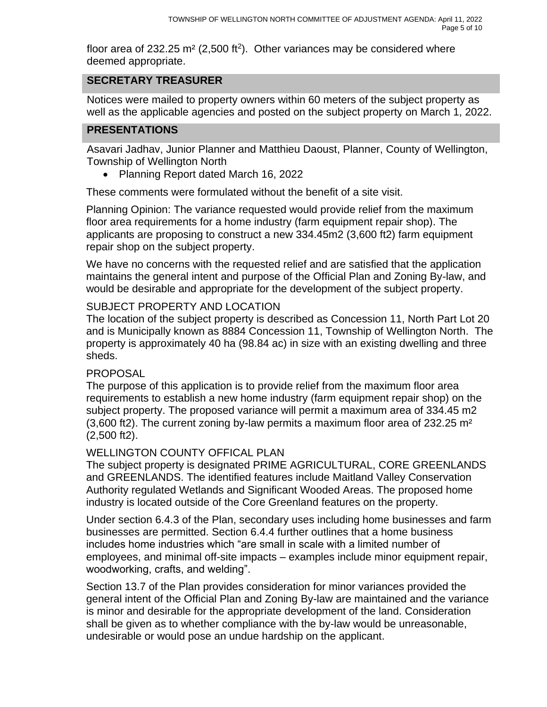floor area of 232.25 m<sup>2</sup> (2,500 ft<sup>2</sup>). Other variances may be considered where deemed appropriate.

# **SECRETARY TREASURER**

Notices were mailed to property owners within 60 meters of the subject property as well as the applicable agencies and posted on the subject property on March 1, 2022.

## **PRESENTATIONS**

Asavari Jadhav, Junior Planner and Matthieu Daoust, Planner, County of Wellington, Township of Wellington North

• Planning Report dated March 16, 2022

These comments were formulated without the benefit of a site visit.

Planning Opinion: The variance requested would provide relief from the maximum floor area requirements for a home industry (farm equipment repair shop). The applicants are proposing to construct a new 334.45m2 (3,600 ft2) farm equipment repair shop on the subject property.

We have no concerns with the requested relief and are satisfied that the application maintains the general intent and purpose of the Official Plan and Zoning By-law, and would be desirable and appropriate for the development of the subject property.

## SUBJECT PROPERTY AND LOCATION

The location of the subject property is described as Concession 11, North Part Lot 20 and is Municipally known as 8884 Concession 11, Township of Wellington North. The property is approximately 40 ha (98.84 ac) in size with an existing dwelling and three sheds.

### PROPOSAL

The purpose of this application is to provide relief from the maximum floor area requirements to establish a new home industry (farm equipment repair shop) on the subject property. The proposed variance will permit a maximum area of 334.45 m2 (3,600 ft2). The current zoning by-law permits a maximum floor area of 232.25 m² (2,500 ft2).

## WELLINGTON COUNTY OFFICAL PLAN

The subject property is designated PRIME AGRICULTURAL, CORE GREENLANDS and GREENLANDS. The identified features include Maitland Valley Conservation Authority regulated Wetlands and Significant Wooded Areas. The proposed home industry is located outside of the Core Greenland features on the property.

Under section 6.4.3 of the Plan, secondary uses including home businesses and farm businesses are permitted. Section 6.4.4 further outlines that a home business includes home industries which "are small in scale with a limited number of employees, and minimal off-site impacts – examples include minor equipment repair, woodworking, crafts, and welding".

Section 13.7 of the Plan provides consideration for minor variances provided the general intent of the Official Plan and Zoning By-law are maintained and the variance is minor and desirable for the appropriate development of the land. Consideration shall be given as to whether compliance with the by-law would be unreasonable, undesirable or would pose an undue hardship on the applicant.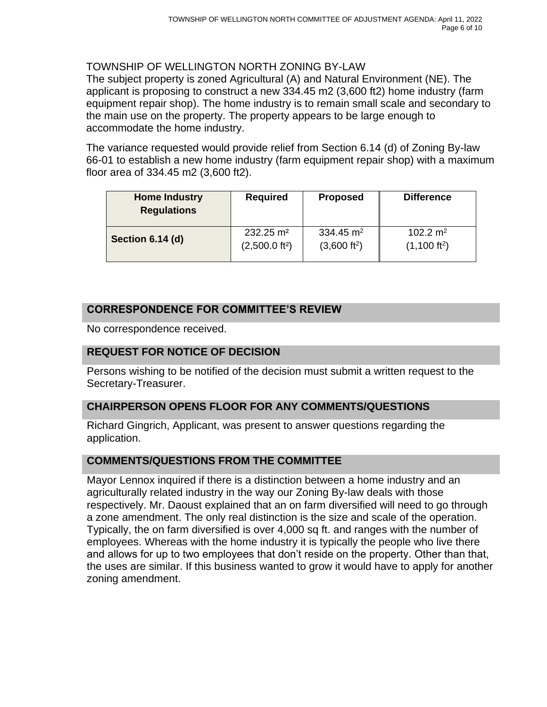### TOWNSHIP OF WELLINGTON NORTH ZONING BY-LAW

The subject property is zoned Agricultural (A) and Natural Environment (NE). The applicant is proposing to construct a new 334.45 m2 (3,600 ft2) home industry (farm equipment repair shop). The home industry is to remain small scale and secondary to the main use on the property. The property appears to be large enough to accommodate the home industry.

The variance requested would provide relief from Section 6.14 (d) of Zoning By-law 66-01 to establish a new home industry (farm equipment repair shop) with a maximum floor area of 334.45 m2 (3,600 ft2).

| <b>Home Industry</b><br><b>Regulations</b> | <b>Required</b>            | <b>Proposed</b>          | <b>Difference</b>      |
|--------------------------------------------|----------------------------|--------------------------|------------------------|
| Section 6.14 (d)                           | $232.25 \text{ m}^2$       | 334.45 $m2$              | 102.2 $m2$             |
|                                            | (2,500.0 ft <sup>2</sup> ) | (3,600 ft <sup>2</sup> ) | $(1,100 \text{ ft}^2)$ |

# **CORRESPONDENCE FOR COMMITTEE'S REVIEW**

No correspondence received.

## **REQUEST FOR NOTICE OF DECISION**

Persons wishing to be notified of the decision must submit a written request to the Secretary-Treasurer.

## **CHAIRPERSON OPENS FLOOR FOR ANY COMMENTS/QUESTIONS**

Richard Gingrich, Applicant, was present to answer questions regarding the application.

### **COMMENTS/QUESTIONS FROM THE COMMITTEE**

Mayor Lennox inquired if there is a distinction between a home industry and an agriculturally related industry in the way our Zoning By-law deals with those respectively. Mr. Daoust explained that an on farm diversified will need to go through a zone amendment. The only real distinction is the size and scale of the operation. Typically, the on farm diversified is over 4,000 sq ft. and ranges with the number of employees. Whereas with the home industry it is typically the people who live there and allows for up to two employees that don't reside on the property. Other than that, the uses are similar. If this business wanted to grow it would have to apply for another zoning amendment.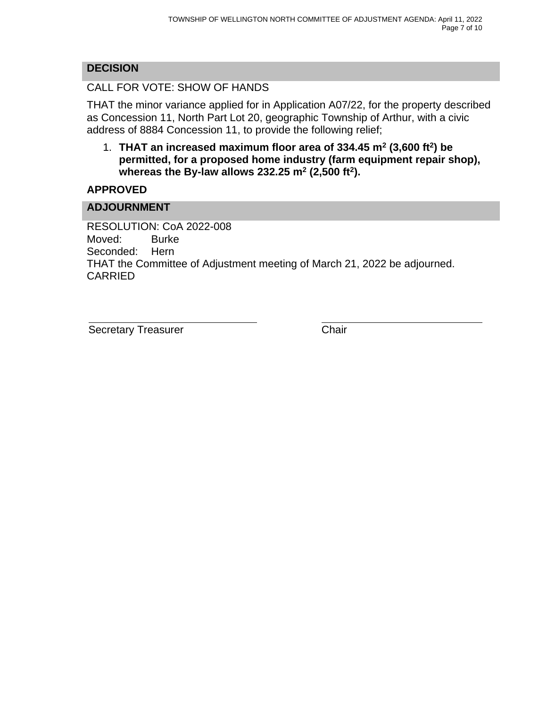# **DECISION**

CALL FOR VOTE: SHOW OF HANDS

THAT the minor variance applied for in Application A07/22, for the property described as Concession 11, North Part Lot 20, geographic Township of Arthur, with a civic address of 8884 Concession 11, to provide the following relief;

1. **THAT an increased maximum floor area of 334.45 m<sup>2</sup> (3,600 ft<sup>2</sup> ) be permitted, for a proposed home industry (farm equipment repair shop), whereas the By-law allows 232.25 m<sup>2</sup> (2,500 ft<sup>2</sup> ).**

## **APPROVED**

### **ADJOURNMENT**

RESOLUTION: CoA 2022-008 Moved: Burke Seconded: Hern THAT the Committee of Adjustment meeting of March 21, 2022 be adjourned. CARRIED

Secretary Treasurer Chair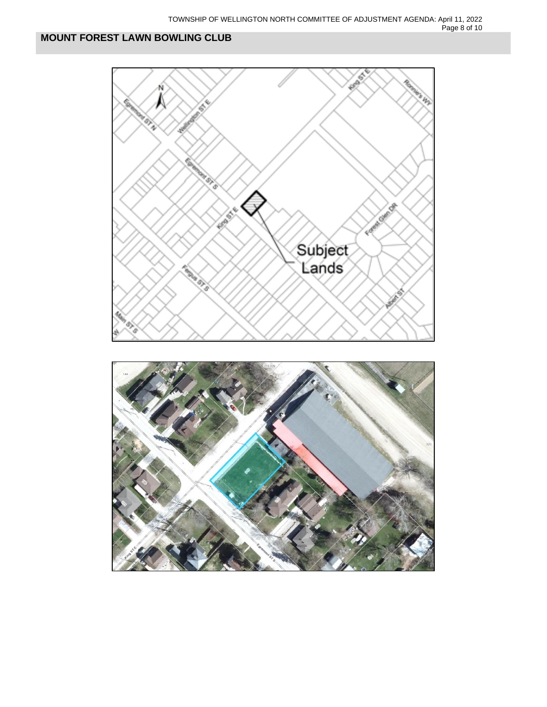

# **MOUNT FOREST LAWN BOWLING CLUB**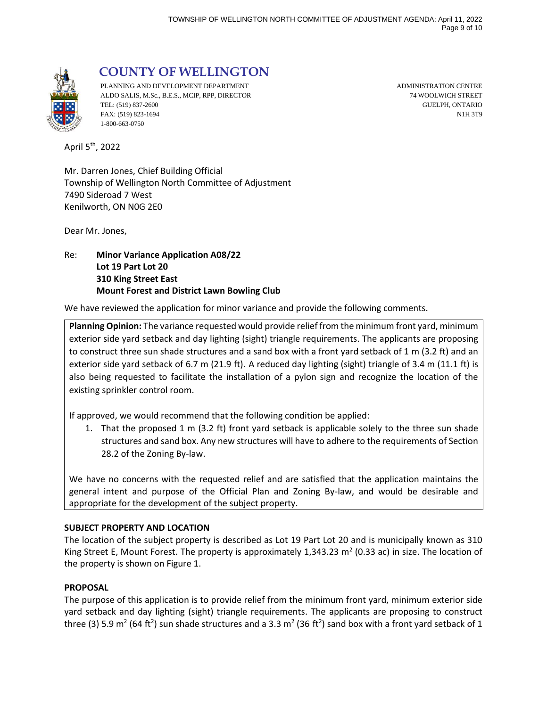

 **COUNTY OF WELLINGTON**

PLANNING AND DEVELOPMENT DEPARTMENT **ADMINISTRATION CENTRE** ALDO SALIS, M.Sc., B.E.S., MCIP, RPP, DIRECTOR 74 WOOLWICH STREET TEL: (519) 837-2600 GUELPH, ONTARIO FAX: (519) 823-1694 N1H 3T9 1-800-663-0750

April 5th, 2022

Mr. Darren Jones, Chief Building Official Township of Wellington North Committee of Adjustment 7490 Sideroad 7 West Kenilworth, ON N0G 2E0

Dear Mr. Jones,

Re: **Minor Variance Application A08/22 Lot 19 Part Lot 20 310 King Street East Mount Forest and District Lawn Bowling Club**

We have reviewed the application for minor variance and provide the following comments.

**Planning Opinion:** The variance requested would provide relief from the minimum front yard, minimum exterior side yard setback and day lighting (sight) triangle requirements. The applicants are proposing to construct three sun shade structures and a sand box with a front yard setback of 1 m (3.2 ft) and an exterior side yard setback of 6.7 m (21.9 ft). A reduced day lighting (sight) triangle of 3.4 m (11.1 ft) is also being requested to facilitate the installation of a pylon sign and recognize the location of the existing sprinkler control room.

If approved, we would recommend that the following condition be applied:

1. That the proposed 1 m (3.2 ft) front yard setback is applicable solely to the three sun shade structures and sand box. Any new structures will have to adhere to the requirements of Section 28.2 of the Zoning By-law.

We have no concerns with the requested relief and are satisfied that the application maintains the general intent and purpose of the Official Plan and Zoning By-law, and would be desirable and appropriate for the development of the subject property.

#### **SUBJECT PROPERTY AND LOCATION**

The location of the subject property is described as Lot 19 Part Lot 20 and is municipally known as 310 King Street E, Mount Forest. The property is approximately 1,343.23  $m^2$  (0.33 ac) in size. The location of the property is shown on Figure 1.

#### **PROPOSAL**

The purpose of this application is to provide relief from the minimum front yard, minimum exterior side yard setback and day lighting (sight) triangle requirements. The applicants are proposing to construct three (3) 5.9 m<sup>2</sup> (64 ft<sup>2</sup>) sun shade structures and a 3.3 m<sup>2</sup> (36 ft<sup>2</sup>) sand box with a front yard setback of 1